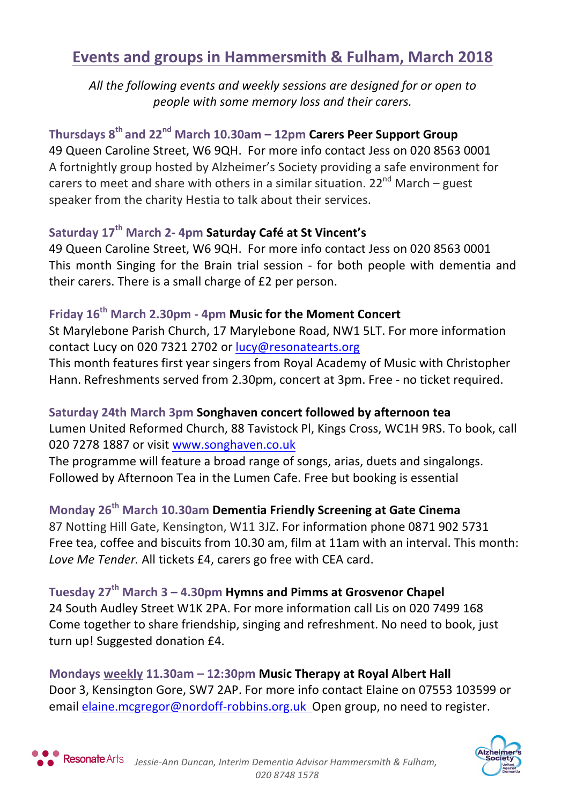# **Events and groups in Hammersmith & Fulham, March 2018**

All the following events and weekly sessions are designed for or open to *people with some memory loss and their carers.*

# **Thursdays 8th and 22nd March 10.30am – 12pm Carers Peer Support Group**

49 Queen Caroline Street, W6 9QH. For more info contact Jess on 020 8563 0001 A fortnightly group hosted by Alzheimer's Society providing a safe environment for carers to meet and share with others in a similar situation.  $22^{nd}$  March – guest speaker from the charity Hestia to talk about their services.

## **Saturday 17th March 2- 4pm Saturday Café at St Vincent's**

49 Queen Caroline Street, W6 9QH. For more info contact Jess on 020 8563 0001 This month Singing for the Brain trial session - for both people with dementia and their carers. There is a small charge of £2 per person.

## **Friday 16th March 2.30pm - 4pm Music for the Moment Concert**

St Marylebone Parish Church, 17 Marylebone Road, NW1 5LT. For more information contact Lucy on 020 7321 2702 or lucy@resonatearts.org

This month features first year singers from Royal Academy of Music with Christopher Hann. Refreshments served from 2.30pm, concert at 3pm. Free - no ticket required.

# **Saturday 24th March 3pm Songhaven concert followed by afternoon tea**

Lumen United Reformed Church, 88 Tavistock Pl, Kings Cross, WC1H 9RS. To book, call 020 7278 1887 or visit www.songhaven.co.uk

The programme will feature a broad range of songs, arias, duets and singalongs. Followed by Afternoon Tea in the Lumen Cafe. Free but booking is essential

**Monday 26th March 10.30am Dementia Friendly Screening at Gate Cinema** 87 Notting Hill Gate, Kensington, W11 3JZ. For information phone 0871 902 5731 Free tea, coffee and biscuits from 10.30 am, film at 11am with an interval. This month: Love Me Tender. All tickets £4, carers go free with CEA card.

**Tuesday 27th March 3 – 4.30pm Hymns and Pimms at Grosvenor Chapel** 24 South Audley Street W1K 2PA. For more information call Lis on 020 7499 168 Come together to share friendship, singing and refreshment. No need to book, just turn up! Suggested donation £4.

**Mondays weekly 11.30am – 12:30pm Music Therapy at Royal Albert Hall** Door 3, Kensington Gore, SW7 2AP. For more info contact Elaine on 07553 103599 or email elaine.mcgregor@nordoff-robbins.org.uk Open group, no need to register.